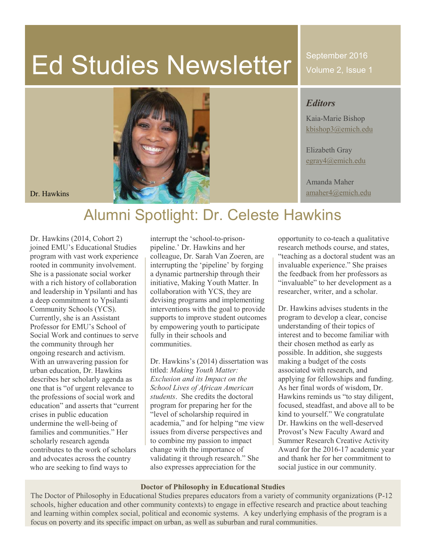# Ed Studies Newsletter

September 2016 Volume 2, Issue 1

## *Editors*

Kaia-Marie Bishop [kbishop3@emich.edu](mailto:kbishop3@emich.edu)

Elizabeth Gray [egray4@emich.edu](mailto:egray4@emich.edu)

Amanda Maher



# Alumni Spotlight: Dr. Celeste Hawkins

Dr. Hawkins (2014, Cohort 2) joined EMU's Educational Studies program with vast work experience rooted in community involvement. She is a passionate social worker with a rich history of collaboration and leadership in Ypsilanti and has a deep commitment to Ypsilanti Community Schools (YCS). Currently, she is an Assistant Professor for EMU's School of Social Work and continues to serve the community through her ongoing research and activism. With an unwavering passion for urban education, Dr. Hawkins describes her scholarly agenda as one that is "of urgent relevance to the professions of social work and education" and asserts that "current crises in public education undermine the well-being of families and communities." Her scholarly research agenda contributes to the work of scholars and advocates across the country who are seeking to find ways to

interrupt the 'school-to-prisonpipeline.' Dr. Hawkins and her colleague, Dr. Sarah Van Zoeren, are interrupting the 'pipeline' by forging a dynamic partnership through their initiative, Making Youth Matter. In collaboration with YCS, they are devising programs and implementing interventions with the goal to provide supports to improve student outcomes by empowering youth to participate fully in their schools and communities.

Dr. Hawkins's (2014) dissertation was titled: *Making Youth Matter: Exclusion and its Impact on the School Lives of African American students*. She credits the doctoral program for preparing her for the "level of scholarship required in academia," and for helping "me view issues from diverse perspectives and to combine my passion to impact change with the importance of validating it through research." She also expresses appreciation for the

opportunity to co-teach a qualitative research methods course, and states, "teaching as a doctoral student was an invaluable experience." She praises the feedback from her professors as "invaluable" to her development as a researcher, writer, and a scholar.

Dr. Hawkins advises students in the program to develop a clear, concise understanding of their topics of interest and to become familiar with their chosen method as early as possible. In addition, she suggests making a budget of the costs associated with research, and applying for fellowships and funding. As her final words of wisdom, Dr. Hawkins reminds us "to stay diligent, focused, steadfast, and above all to be kind to yourself." We congratulate Dr. Hawkins on the well-deserved Provost's New Faculty Award and Summer Research Creative Activity Award for the 2016-17 academic year and thank her for her commitment to social justice in our community.

#### **Doctor of Philosophy in Educational Studies**

The Doctor of Philosophy in Educational Studies prepares educators from a variety of community organizations (P-12 schools, higher education and other community contexts) to engage in effective research and practice about teaching and learning within complex social, political and economic systems. A key underlying emphasis of the program is a focus on poverty and its specific impact on urban, as well as suburban and rural communities.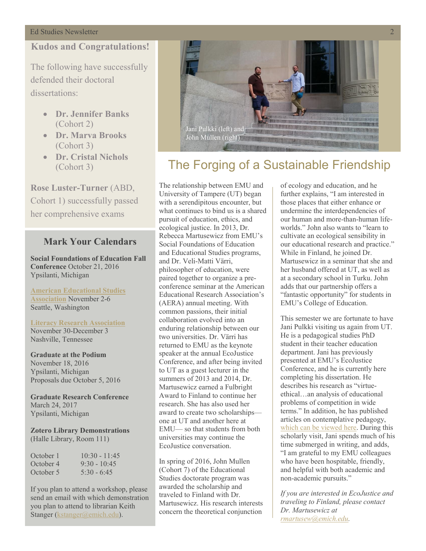## **Kudos and Congratulations!**

The following have successfully defended their doctoral dissertations:

- x **Dr. Jennifer Banks**  (Cohort 2)
- x **Dr. Marva Brooks**  (Cohort 3)
- x **Dr. Cristal Nichols**  (Cohort 3)

**Rose Luster-Turner** (ABD, Cohort 1) successfully passed her comprehensive exams

# **Mark Your Calendars**

**Social Foundations of Education Fall Conference** October 21, 2016 Ypsilanti, Michigan

**[American Educational Studies](http://www.educationalstudies.org/conference.html)  [Association](http://www.educationalstudies.org/conference.html)** November 2-6 Seattle, Washington

# **[Literacy Research Association](http://www.literacyresearchassociation.org/index.php)**

November 30-December 3 Nashville, Tennessee

**Graduate at the Podium** November 18, 2016 Ypsilanti, Michigan Proposals due October 5, 2016

**Graduate Research Conference** March 24, 2017 Ypsilanti, Michigan

#### **Zotero Library Demonstrations** (Halle Library, Room 111)

| October 1 | $10:30 - 11:45$ |
|-----------|-----------------|
| October 4 | $9:30 - 10:45$  |
| October 5 | $5:30 - 6:45$   |

If you plan to attend a workshop, please send an email with which demonstration you plan to attend to librarian Keith Stanger [\(kstanger@emich.edu\)](mailto:kstanger@emich.edu).



# The Forging of a Sustainable Friendship

The relationship between EMU and University of Tampere (UT) began with a serendipitous encounter, but what continues to bind us is a shared pursuit of education, ethics, and ecological justice. In 2013, Dr. Rebecca Martusewicz from EMU's Social Foundations of Education and Educational Studies programs, and Dr. Veli-Matti Värri, philosopher of education, were paired together to organize a preconference seminar at the American Educational Research Association's (AERA) annual meeting. With common passions, their initial collaboration evolved into an enduring relationship between our two universities. Dr. Värri has returned to EMU as the keynote speaker at the annual EcoJustice Conference, and after being invited to UT as a guest lecturer in the summers of 2013 and 2014, Dr. Martusewicz earned a Fulbright Award to Finland to continue her research. She has also used her award to create two scholarships one at UT and another here at EMU— so that students from both universities may continue the EcoJustice conversation.

In spring of 2016, John Mullen (Cohort 7) of the Educational Studies doctorate program was awarded the scholarship and traveled to Finland with Dr. Martusewicz. His research interests concern the theoretical conjunction

of ecology and education, and he further explains, "I am interested in those places that either enhance or undermine the interdependencies of our human and more-than-human lifeworlds." John also wants to "learn to cultivate an ecological sensibility in our educational research and practice." While in Finland, he joined Dr. Martusewicz in a seminar that she and her husband offered at UT, as well as at a secondary school in Turku. John adds that our partnership offers a "fantastic opportunity" for students in EMU's College of Education.

This semester we are fortunate to have Jani Pulkki visiting us again from UT. He is a pedagogical studies PhD student in their teacher education department. Jani has previously presented at EMU's EcoJustice Conference, and he is currently here completing his dissertation. He describes his research as "virtueethical…an analysis of educational problems of competition in wide terms." In addition, he has published articles on contemplative pedagogy, [which can be viewed here.](https://uta-fi.academia.edu/JaniPulkki) During this scholarly visit, Jani spends much of his time submerged in writing, and adds, "I am grateful to my EMU colleagues who have been hospitable, friendly, and helpful with both academic and non-academic pursuits."

*If you are interested in EcoJustice and traveling to Finland, please contact Dr. Martusewicz at [rmartusew@emich.edu.](mailto:rmartusew@emich.edu)*